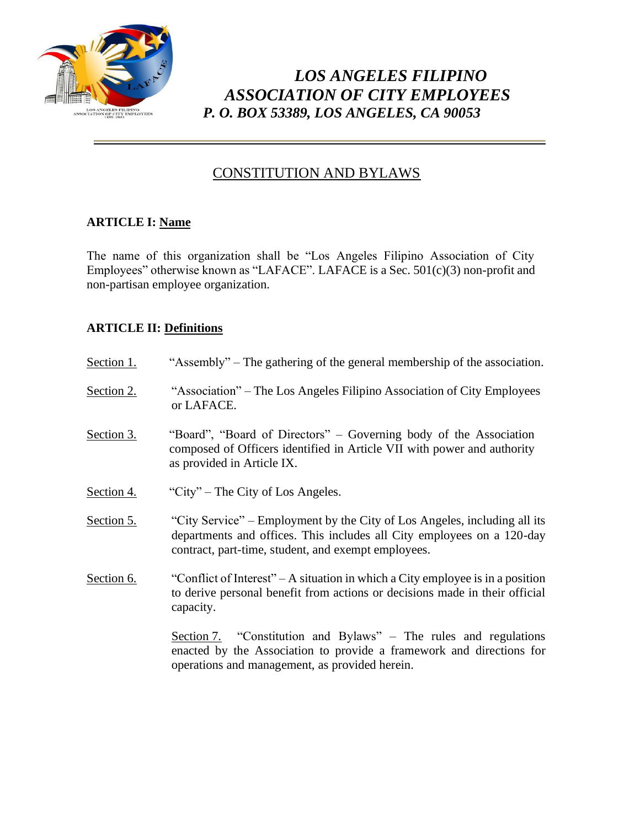

# *LOS ANGELES FILIPINO ASSOCIATION OF CITY EMPLOYEES P. O. BOX 53389, LOS ANGELES, CA 90053*

## CONSTITUTION AND BYLAWS

### **ARTICLE I: Name**

The name of this organization shall be "Los Angeles Filipino Association of City Employees" otherwise known as "LAFACE". LAFACE is a Sec. 501(c)(3) non-profit and non-partisan employee organization.

### **ARTICLE II: Definitions**

| Section 1. | "Assembly" – The gathering of the general membership of the association.                                                                                                                                   |
|------------|------------------------------------------------------------------------------------------------------------------------------------------------------------------------------------------------------------|
| Section 2. | "Association" – The Los Angeles Filipino Association of City Employees<br>or LAFACE.                                                                                                                       |
| Section 3. | "Board", "Board of Directors" – Governing body of the Association<br>composed of Officers identified in Article VII with power and authority<br>as provided in Article IX.                                 |
| Section 4. | "City" – The City of Los Angeles.                                                                                                                                                                          |
| Section 5. | "City Service" – Employment by the City of Los Angeles, including all its<br>departments and offices. This includes all City employees on a 120-day<br>contract, part-time, student, and exempt employees. |
| Section 6. | "Conflict of Interest" – A situation in which a City employee is in a position<br>to derive personal benefit from actions or decisions made in their official<br>capacity.                                 |
|            | Section 7. "Constitution and Bylaws" – The rules and regulations<br>enacted by the Association to provide a framework and directions for<br>operations and management, as provided herein.                 |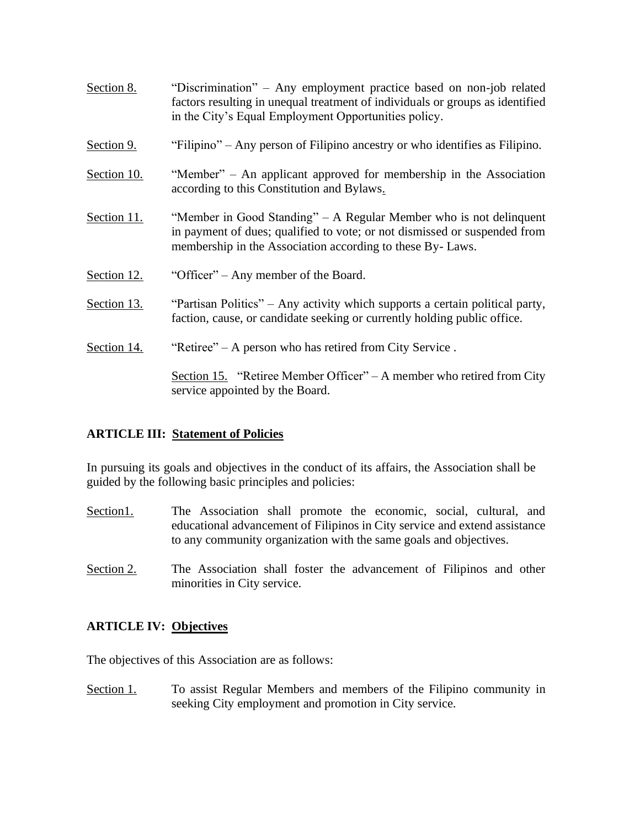| Section 8.  | "Discrimination" – Any employment practice based on non-job related<br>factors resulting in unequal treatment of individuals or groups as identified<br>in the City's Equal Employment Opportunities policy. |
|-------------|--------------------------------------------------------------------------------------------------------------------------------------------------------------------------------------------------------------|
| Section 9.  | "Filipino" – Any person of Filipino ancestry or who identifies as Filipino.                                                                                                                                  |
| Section 10. | "Member" – An applicant approved for membership in the Association<br>according to this Constitution and Bylaws.                                                                                             |
| Section 11. | "Member in Good Standing" – A Regular Member who is not delinquent<br>in payment of dues; qualified to vote; or not dismissed or suspended from<br>membership in the Association according to these By-Laws. |
| Section 12. | "Officer" – Any member of the Board.                                                                                                                                                                         |
| Section 13. | "Partisan Politics" – Any activity which supports a certain political party,<br>faction, cause, or candidate seeking or currently holding public office.                                                     |
| Section 14. | "Retiree" – A person who has retired from City Service.                                                                                                                                                      |
|             | Section 15. "Retiree Member Officer" – A member who retired from City                                                                                                                                        |

#### **ARTICLE III: Statement of Policies**

service appointed by the Board.

In pursuing its goals and objectives in the conduct of its affairs, the Association shall be guided by the following basic principles and policies:

- Section1. The Association shall promote the economic, social, cultural, and educational advancement of Filipinos in City service and extend assistance to any community organization with the same goals and objectives.
- Section 2. The Association shall foster the advancement of Filipinos and other minorities in City service.

#### **ARTICLE IV: Objectives**

The objectives of this Association are as follows:

Section 1. To assist Regular Members and members of the Filipino community in seeking City employment and promotion in City service.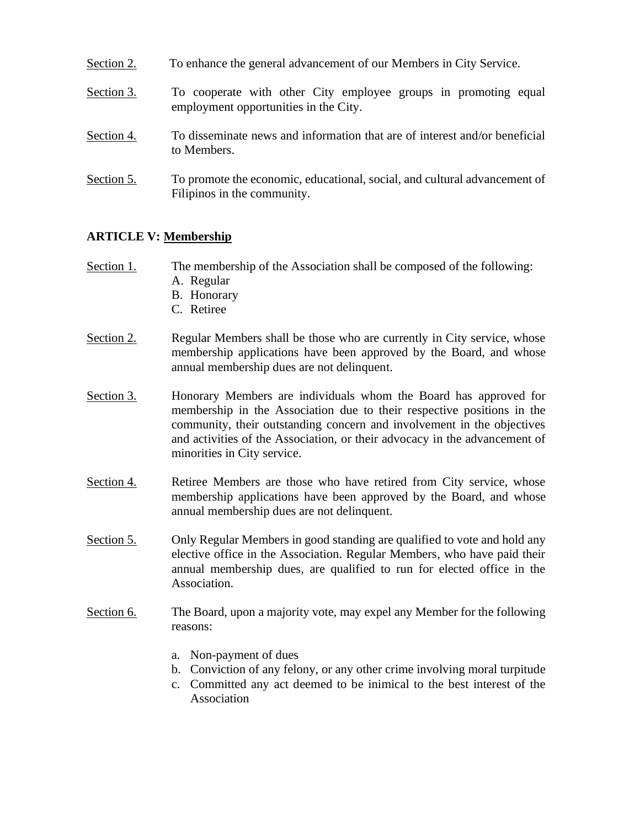- Section 2. To enhance the general advancement of our Members in City Service.
- Section 3. To cooperate with other City employee groups in promoting equal employment opportunities in the City.
- Section 4. To disseminate news and information that are of interest and/or beneficial to Members.
- Section 5. To promote the economic, educational, social, and cultural advancement of Filipinos in the community.

#### **ARTICLE V: Membership**

- Section 1. The membership of the Association shall be composed of the following:
	- A. Regular
	- B. Honorary
	- C. Retiree
- Section 2. Regular Members shall be those who are currently in City service, whose membership applications have been approved by the Board, and whose annual membership dues are not delinquent.
- Section 3. Honorary Members are individuals whom the Board has approved for membership in the Association due to their respective positions in the community, their outstanding concern and involvement in the objectives and activities of the Association, or their advocacy in the advancement of minorities in City service.
- Section 4. Retiree Members are those who have retired from City service, whose membership applications have been approved by the Board, and whose annual membership dues are not delinquent.
- Section 5. Only Regular Members in good standing are qualified to vote and hold any elective office in the Association. Regular Members, who have paid their annual membership dues, are qualified to run for elected office in the Association.
- Section 6. The Board, upon a majority vote, may expel any Member for the following reasons:
	- a. Non-payment of dues
	- b. Conviction of any felony, or any other crime involving moral turpitude
	- c. Committed any act deemed to be inimical to the best interest of the Association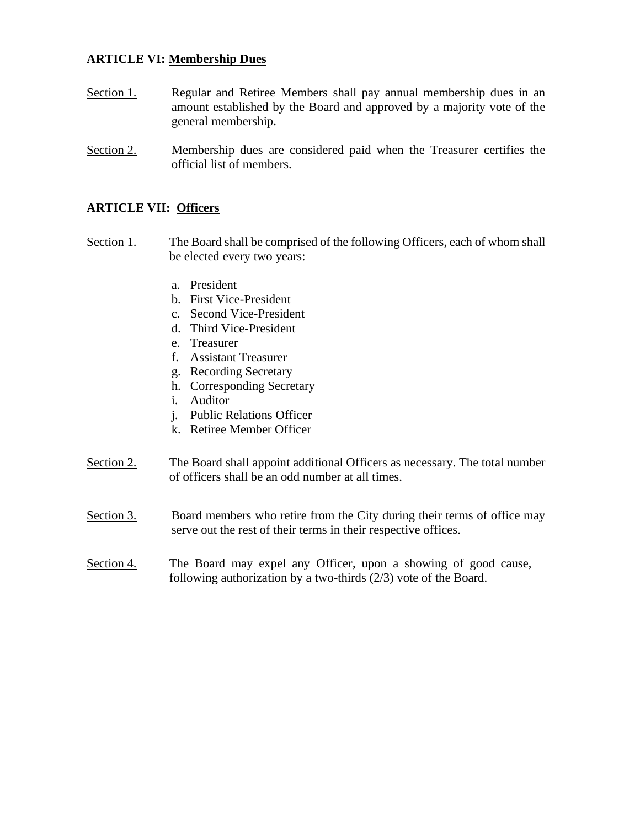#### **ARTICLE VI: Membership Dues**

- Section 1. Regular and Retiree Members shall pay annual membership dues in an amount established by the Board and approved by a majority vote of the general membership.
- Section 2. Membership dues are considered paid when the Treasurer certifies the official list of members.

#### **ARTICLE VII: Officers**

- Section 1. The Board shall be comprised of the following Officers, each of whom shall be elected every two years:
	- a. President
	- b. First Vice-President
	- c. Second Vice-President
	- d. Third Vice-President
	- e. Treasurer
	- f. Assistant Treasurer
	- g. Recording Secretary
	- h. Corresponding Secretary
	- i. Auditor
	- j. Public Relations Officer
	- k. Retiree Member Officer
- Section 2. The Board shall appoint additional Officers as necessary. The total number of officers shall be an odd number at all times.
- Section 3. Board members who retire from the City during their terms of office may serve out the rest of their terms in their respective offices.
- Section 4. The Board may expel any Officer, upon a showing of good cause, following authorization by a two-thirds (2/3) vote of the Board.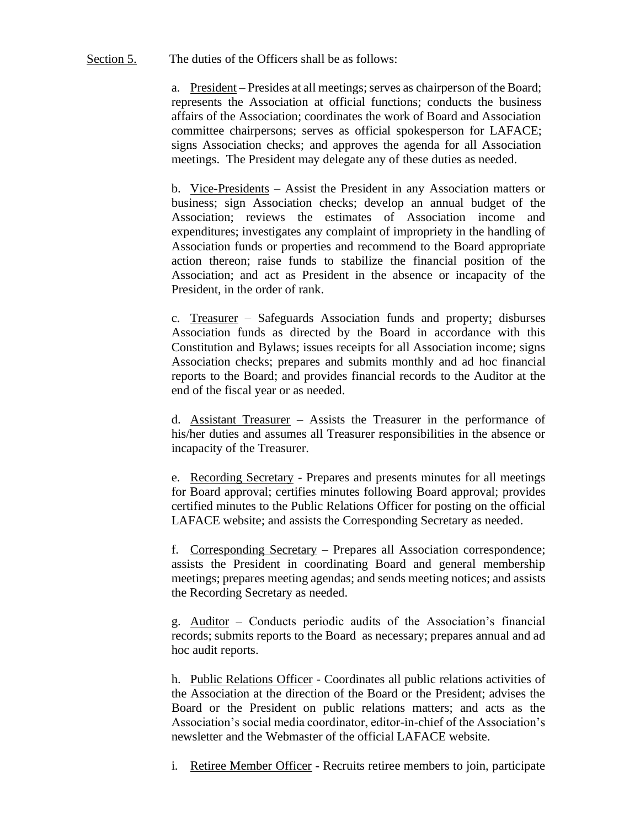#### Section 5. The duties of the Officers shall be as follows:

a. President – Presides at all meetings; serves as chairperson of the Board; represents the Association at official functions; conducts the business affairs of the Association; coordinates the work of Board and Association committee chairpersons; serves as official spokesperson for LAFACE; signs Association checks; and approves the agenda for all Association meetings. The President may delegate any of these duties as needed.

b. Vice-Presidents – Assist the President in any Association matters or business; sign Association checks; develop an annual budget of the Association; reviews the estimates of Association income and expenditures; investigates any complaint of impropriety in the handling of Association funds or properties and recommend to the Board appropriate action thereon; raise funds to stabilize the financial position of the Association; and act as President in the absence or incapacity of the President, in the order of rank.

c. Treasurer – Safeguards Association funds and property; disburses Association funds as directed by the Board in accordance with this Constitution and Bylaws; issues receipts for all Association income; signs Association checks; prepares and submits monthly and ad hoc financial reports to the Board; and provides financial records to the Auditor at the end of the fiscal year or as needed.

d. Assistant Treasurer – Assists the Treasurer in the performance of his/her duties and assumes all Treasurer responsibilities in the absence or incapacity of the Treasurer.

e. Recording Secretary - Prepares and presents minutes for all meetings for Board approval; certifies minutes following Board approval; provides certified minutes to the Public Relations Officer for posting on the official LAFACE website; and assists the Corresponding Secretary as needed.

f. Corresponding Secretary – Prepares all Association correspondence; assists the President in coordinating Board and general membership meetings; prepares meeting agendas; and sends meeting notices; and assists the Recording Secretary as needed.

g. Auditor – Conducts periodic audits of the Association's financial records; submits reports to the Board as necessary; prepares annual and ad hoc audit reports.

h. Public Relations Officer - Coordinates all public relations activities of the Association at the direction of the Board or the President; advises the Board or the President on public relations matters; and acts as the Association's social media coordinator, editor-in-chief of the Association's newsletter and the Webmaster of the official LAFACE website.

i. Retiree Member Officer - Recruits retiree members to join, participate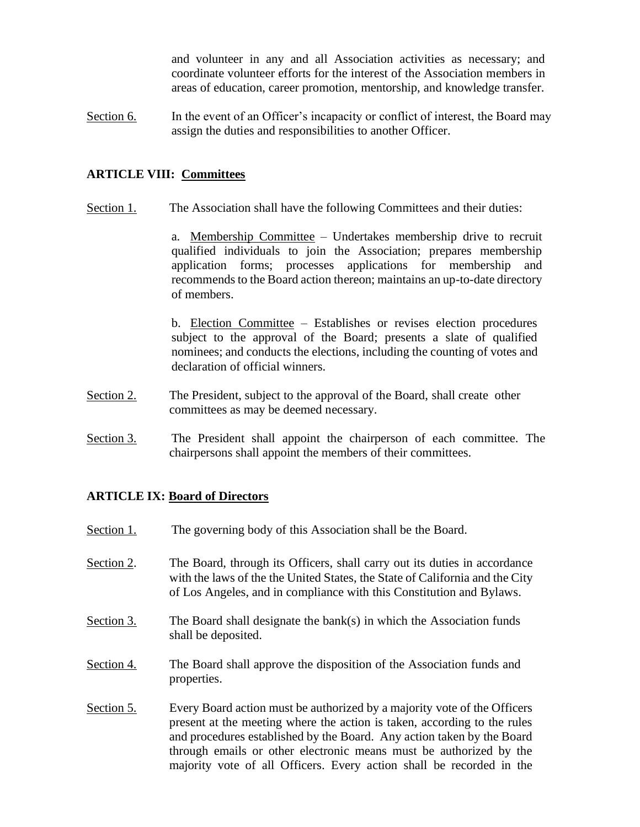and volunteer in any and all Association activities as necessary; and coordinate volunteer efforts for the interest of the Association members in areas of education, career promotion, mentorship, and knowledge transfer.

Section 6. In the event of an Officer's incapacity or conflict of interest, the Board may assign the duties and responsibilities to another Officer.

#### **ARTICLE VIII: Committees**

Section 1. The Association shall have the following Committees and their duties:

a. Membership Committee – Undertakes membership drive to recruit qualified individuals to join the Association; prepares membership application forms; processes applications for membership and recommends to the Board action thereon; maintains an up-to-date directory of members.

b. Election Committee – Establishes or revises election procedures subject to the approval of the Board; presents a slate of qualified nominees; and conducts the elections, including the counting of votes and declaration of official winners.

- Section 2. The President, subject to the approval of the Board, shall create other committees as may be deemed necessary.
- Section 3. The President shall appoint the chairperson of each committee. The chairpersons shall appoint the members of their committees.

#### **ARTICLE IX: Board of Directors**

Section 1. The governing body of this Association shall be the Board. Section 2. The Board, through its Officers, shall carry out its duties in accordance with the laws of the the United States, the State of California and the City of Los Angeles, and in compliance with this Constitution and Bylaws. Section 3. The Board shall designate the bank(s) in which the Association funds shall be deposited. Section 4. The Board shall approve the disposition of the Association funds and properties. Section 5. Every Board action must be authorized by a majority vote of the Officers present at the meeting where the action is taken, according to the rules and procedures established by the Board. Any action taken by the Board through emails or other electronic means must be authorized by the majority vote of all Officers. Every action shall be recorded in the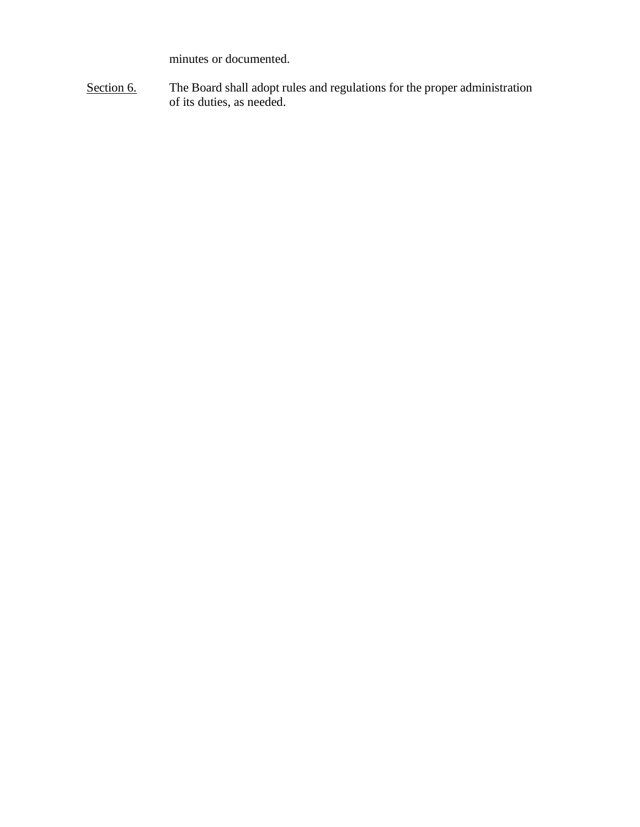minutes or documented.

Section 6. The Board shall adopt rules and regulations for the proper administration of its duties, as needed.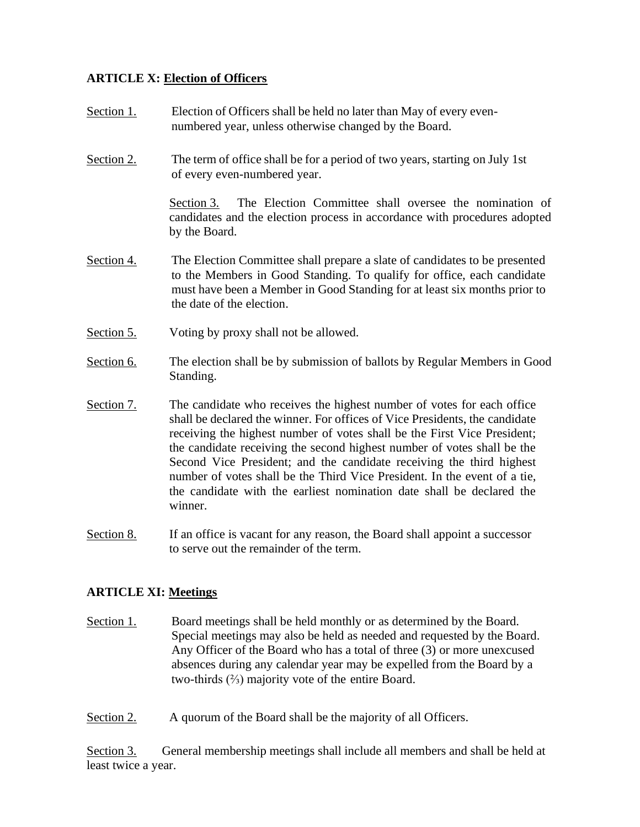### **ARTICLE X: Election of Officers**

- Section 1. Election of Officers shall be held no later than May of every evennumbered year, unless otherwise changed by the Board.
- Section 2. The term of office shall be for a period of two years, starting on July 1st of every even-numbered year.

Section 3. The Election Committee shall oversee the nomination of candidates and the election process in accordance with procedures adopted by the Board.

- Section 4. The Election Committee shall prepare a slate of candidates to be presented to the Members in Good Standing. To qualify for office, each candidate must have been a Member in Good Standing for at least six months prior to the date of the election.
- Section 5. Voting by proxy shall not be allowed.
- Section 6. The election shall be by submission of ballots by Regular Members in Good Standing.
- Section 7. The candidate who receives the highest number of votes for each office shall be declared the winner. For offices of Vice Presidents, the candidate receiving the highest number of votes shall be the First Vice President; the candidate receiving the second highest number of votes shall be the Second Vice President; and the candidate receiving the third highest number of votes shall be the Third Vice President. In the event of a tie, the candidate with the earliest nomination date shall be declared the winner.
- Section 8. If an office is vacant for any reason, the Board shall appoint a successor to serve out the remainder of the term.

#### **ARTICLE XI: Meetings**

- Section 1. Board meetings shall be held monthly or as determined by the Board. Special meetings may also be held as needed and requested by the Board. Any Officer of the Board who has a total of three (3) or more unexcused absences during any calendar year may be expelled from the Board by a two-thirds (⅔) majority vote of the entire Board.
- Section 2. A quorum of the Board shall be the majority of all Officers.

Section 3. General membership meetings shall include all members and shall be held at least twice a year.